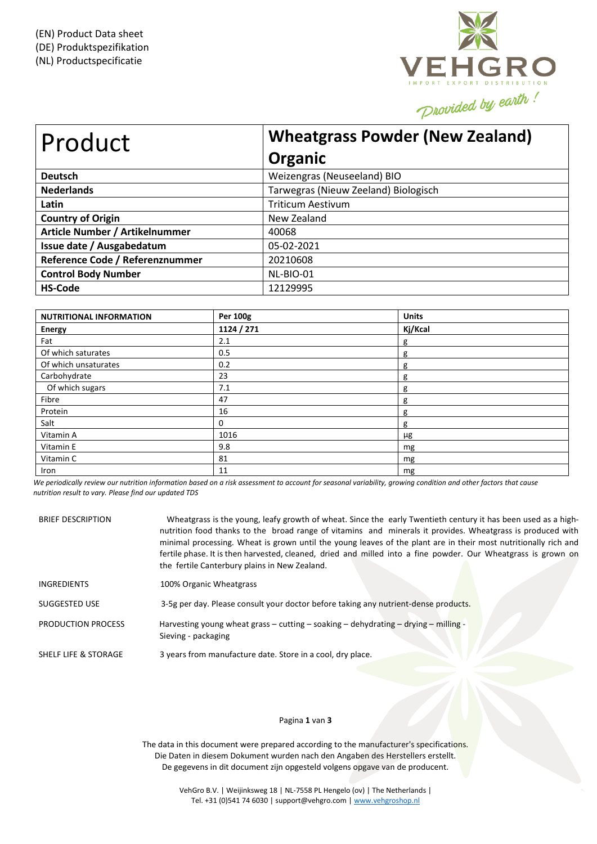

| Product                         | <b>Wheatgrass Powder (New Zealand)</b><br>Organic |
|---------------------------------|---------------------------------------------------|
| <b>Deutsch</b>                  | Weizengras (Neuseeland) BIO                       |
| <b>Nederlands</b>               | Tarwegras (Nieuw Zeeland) Biologisch              |
| Latin                           | <b>Triticum Aestivum</b>                          |
| <b>Country of Origin</b>        | New Zealand                                       |
| Article Number / Artikelnummer  | 40068                                             |
| Issue date / Ausgabedatum       | 05-02-2021                                        |
| Reference Code / Referenznummer | 20210608                                          |
| <b>Control Body Number</b>      | NL-BIO-01                                         |
| <b>HS-Code</b>                  | 12129995                                          |

| <b>NUTRITIONAL INFORMATION</b> | Per 100g   | <b>Units</b> |
|--------------------------------|------------|--------------|
| <b>Energy</b>                  | 1124 / 271 | Kj/Kcal      |
| Fat                            | 2.1        | g            |
| Of which saturates             | 0.5        | g            |
| Of which unsaturates           | 0.2        | g            |
| Carbohydrate                   | 23         | g            |
| Of which sugars                | 7.1        | g            |
| Fibre                          | 47         | g            |
| Protein                        | 16         | g            |
| Salt                           | 0          | g            |
| Vitamin A                      | 1016       | μg           |
| Vitamin E                      | 9.8        | mg           |
| Vitamin C                      | 81         | mg           |
| Iron                           | 11         | mg           |

We periodically review our nutrition information based on a risk assessment to account for seasonal variability, growing condition and other factors that cause *nutrition result to vary. Please find our updated TDS*

| <b>BRIEF DESCRIPTION</b>  | Wheatgrass is the young, leafy growth of wheat. Since the early Twentieth century it has been used as a high-<br>nutrition food thanks to the broad range of vitamins and minerals it provides. Wheatgrass is produced with<br>minimal processing. Wheat is grown until the young leaves of the plant are in their most nutritionally rich and<br>fertile phase. It is then harvested, cleaned, dried and milled into a fine powder. Our Wheatgrass is grown on<br>the fertile Canterbury plains in New Zealand. |
|---------------------------|------------------------------------------------------------------------------------------------------------------------------------------------------------------------------------------------------------------------------------------------------------------------------------------------------------------------------------------------------------------------------------------------------------------------------------------------------------------------------------------------------------------|
| INGREDIENTS               | 100% Organic Wheatgrass                                                                                                                                                                                                                                                                                                                                                                                                                                                                                          |
| SUGGESTED USE             | 3-5g per day. Please consult your doctor before taking any nutrient-dense products.                                                                                                                                                                                                                                                                                                                                                                                                                              |
| <b>PRODUCTION PROCESS</b> | Harvesting young wheat grass – cutting – soaking – dehydrating – drying – milling -<br>Sieving - packaging                                                                                                                                                                                                                                                                                                                                                                                                       |
| SHELF LIFE & STORAGE      | 3 years from manufacture date. Store in a cool, dry place.                                                                                                                                                                                                                                                                                                                                                                                                                                                       |

# Pagina **1** van **3**

The data in this document were prepared according to the manufacturer's specifications. Die Daten in diesem Dokument wurden nach den Angaben des Herstellers erstellt. De gegevens in dit document zijn opgesteld volgens opgave van de producent.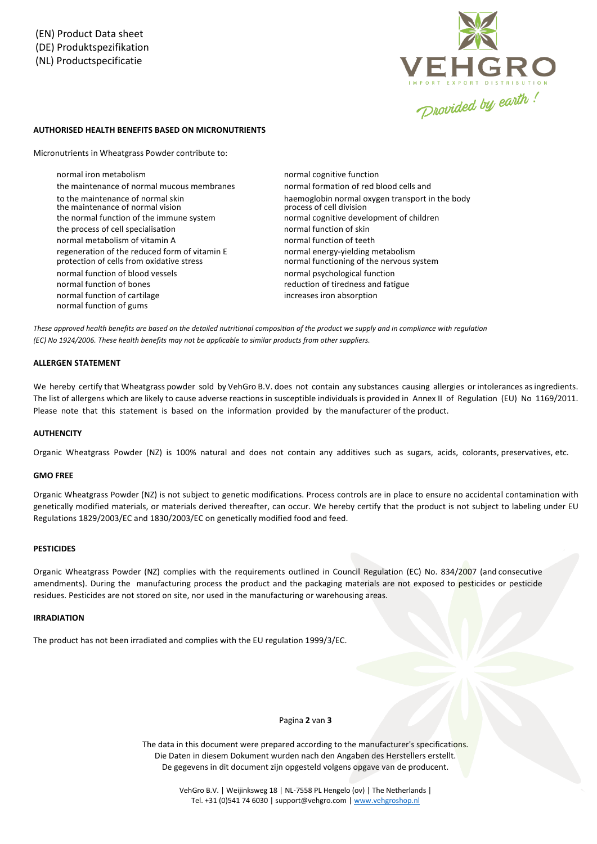

## **AUTHORISED HEALTH BENEFITS BASED ON MICRONUTRIENTS**

Micronutrients in Wheatgrass Powder contribute to:

normal iron metabolism the maintenance of normal mucous membranes to the maintenance of normal skin the maintenance of normal vision the normal function of the immune system normal cognitive development of children the process of cell specialisation normal function of skin normal metabolism of vitamin A normal function of teeth regeneration of the reduced form of vitamin E protection of cells from oxidative stress normal function of blood vessels normal psychological function normal function of bones reduction of tiredness and fatigue normal function of cartilage normal function of gums

normal cognitive function normal formation of red blood cells and haemoglobin normal oxygen transport in the body<br>process of cell division normal energy-yielding metabolism normal functioning of the nervous system increases iron absorption

These approved health benefits are based on the detailed nutritional composition of the product we supply and in compliance with regulation *(EC) No 1924/2006. These health benefits may not be applicable to similar products from other suppliers.*

## **ALLERGEN STATEMENT**

We hereby certify that Wheatgrass powder sold by VehGro B.V. does not contain any substances causing allergies or intolerances as ingredients. The list of allergens which are likely to cause adverse reactions in susceptible individuals is provided in Annex II of Regulation (EU) No 1169/2011. Please note that this statement is based on the information provided by the manufacturer of the product.

## **AUTHENCITY**

Organic Wheatgrass Powder (NZ) is 100% natural and does not contain any additives such as sugars, acids, colorants, preservatives, etc.

#### **GMO FREE**

Organic Wheatgrass Powder (NZ) is not subject to genetic modifications. Process controls are in place to ensure no accidental contamination with genetically modified materials, or materials derived thereafter, can occur. We hereby certify that the product is not subject to labeling under EU Regulations 1829/2003/EC and 1830/2003/EC on genetically modified food and feed.

## **PESTICIDES**

Organic Wheatgrass Powder (NZ) complies with the requirements outlined in Council Regulation (EC) No. 834/2007 (and consecutive amendments). During the manufacturing process the product and the packaging materials are not exposed to pesticides or pesticide residues. Pesticides are not stored on site, nor used in the manufacturing or warehousing areas.

## **IRRADIATION**

The product has not been irradiated and complies with the EU regulation 1999/3/EC.

#### Pagina **2** van **3**

The data in this document were prepared according to the manufacturer's specifications. Die Daten in diesem Dokument wurden nach den Angaben des Herstellers erstellt. De gegevens in dit document zijn opgesteld volgens opgave van de producent.

> VehGro B.V. | Weijinksweg 18 | NL-7558 PL Hengelo (ov) | The Netherlands | Tel. +31 (0)541 74 6030 | support@vehgro.com [| www.vehgroshop.nl](http://www.vehgroshop.nl/)